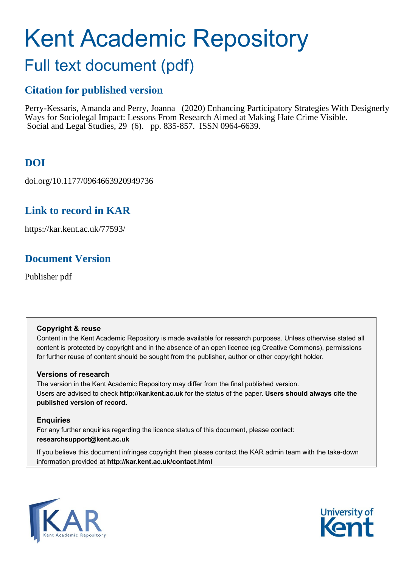# Kent Academic Repository

## Full text document (pdf)

## **Citation for published version**

Perry-Kessaris, Amanda and Perry, Joanna (2020) Enhancing Participatory Strategies With Designerly Ways for Sociolegal Impact: Lessons From Research Aimed at Making Hate Crime Visible. Social and Legal Studies, 29 (6). pp. 835-857. ISSN 0964-6639.

## **DOI**

doi.org/10.1177/0964663920949736

## **Link to record in KAR**

https://kar.kent.ac.uk/77593/

## **Document Version**

Publisher pdf

#### **Copyright & reuse**

Content in the Kent Academic Repository is made available for research purposes. Unless otherwise stated all content is protected by copyright and in the absence of an open licence (eg Creative Commons), permissions for further reuse of content should be sought from the publisher, author or other copyright holder.

#### **Versions of research**

The version in the Kent Academic Repository may differ from the final published version. Users are advised to check **http://kar.kent.ac.uk** for the status of the paper. **Users should always cite the published version of record.**

#### **Enquiries**

For any further enquiries regarding the licence status of this document, please contact: **researchsupport@kent.ac.uk**

If you believe this document infringes copyright then please contact the KAR admin team with the take-down information provided at **http://kar.kent.ac.uk/contact.html**



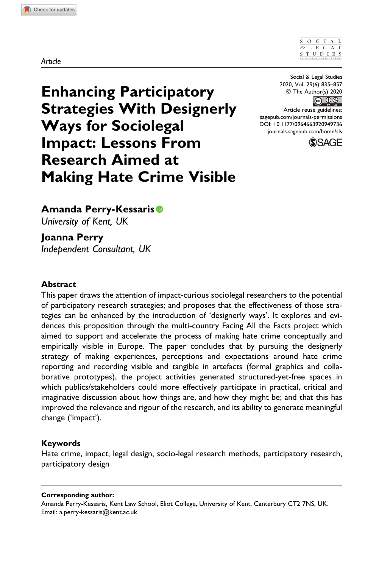Article

 $S$  O C I A L  $O^*$  L E G A L  $S$  T U D I E  $S$ 

Social & Legal Studies 2020, Vol. 29(6) 835–857 © The Author(s) 2020

 $\circledcirc$   $\circledcirc$ Article reuse guidelines: [sagepub.com/journals-permissions](https://sagepub.com/journals-permissions) [DOI: 10.1177/0964663920949736](https://doi.org/10.1177/0964663920949736) [journals.sagepub.com/home/sls](http://journals.sagepub.com/home/sls)



Enhancing Participatory Strategies With Designerly Ways for Sociolegal Impact: Lessons From Research Aimed at Making Hate Crime Visible

Amanda Perry-Kessaris

University of Kent, UK

Joanna Perry Independent Consultant, UK

#### Abstract

This paper draws the attention of impact-curious sociolegal researchers to the potential of participatory research strategies; and proposes that the effectiveness of those strategies can be enhanced by the introduction of 'designerly ways'. It explores and evidences this proposition through the multi-country Facing All the Facts project which aimed to support and accelerate the process of making hate crime conceptually and empirically visible in Europe. The paper concludes that by pursuing the designerly strategy of making experiences, perceptions and expectations around hate crime reporting and recording visible and tangible in artefacts (formal graphics and collaborative prototypes), the project activities generated structured-yet-free spaces in which publics/stakeholders could more effectively participate in practical, critical and imaginative discussion about how things are, and how they might be; and that this has improved the relevance and rigour of the research, and its ability to generate meaningful change ('impact').

#### Keywords

Hate crime, impact, legal design, socio-legal research methods, participatory research, participatory design

#### Corresponding author:

Amanda Perry-Kessaris, Kent Law School, Eliot College, University of Kent, Canterbury CT2 7NS, UK. Email: [a.perry-kessaris@kent.ac.uk](mailto:a.perry-kessaris@kent.ac.uk)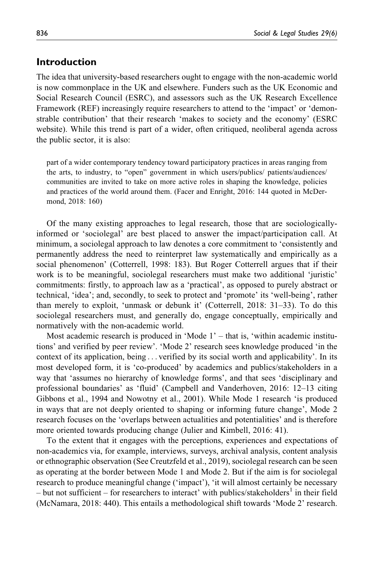#### Introduction

The idea that university-based researchers ought to engage with the non-academic world is now commonplace in the UK and elsewhere. Funders such as the UK Economic and Social Research Council (ESRC), and assessors such as the UK Research Excellence Framework (REF) increasingly require researchers to attend to the 'impact' or 'demonstrable contribution' that their research 'makes to society and the economy' (ESRC website). While this trend is part of a wider, often critiqued, neoliberal agenda across the public sector, it is also:

part of a wider contemporary tendency toward participatory practices in areas ranging from the arts, to industry, to "open" government in which users/publics/ patients/audiences/ communities are invited to take on more active roles in shaping the knowledge, policies and practices of the world around them. (Facer and Enright, 2016: 144 quoted in McDermond, 2018: 160)

Of the many existing approaches to legal research, those that are sociologicallyinformed or 'sociolegal' are best placed to answer the impact/participation call. At minimum, a sociolegal approach to law denotes a core commitment to 'consistently and permanently address the need to reinterpret law systematically and empirically as a social phenomenon' (Cotterrell, 1998: 183). But Roger Cotterrell argues that if their work is to be meaningful, sociolegal researchers must make two additional 'juristic' commitments: firstly, to approach law as a 'practical', as opposed to purely abstract or technical, 'idea'; and, secondly, to seek to protect and 'promote' its 'well-being', rather than merely to exploit, 'unmask or debunk it' (Cotterrell, 2018: 31–33). To do this sociolegal researchers must, and generally do, engage conceptually, empirically and normatively with the non-academic world.

Most academic research is produced in 'Mode 1' – that is, 'within academic institutions' and verified by peer review'. 'Mode 2' research sees knowledge produced 'in the context of its application, being ... verified by its social worth and applicability'. In its most developed form, it is 'co-produced' by academics and publics/stakeholders in a way that 'assumes no hierarchy of knowledge forms', and that sees 'disciplinary and professional boundaries' as 'fluid' (Campbell and Vanderhoven, 2016: 12–13 citing Gibbons et al., 1994 and Nowotny et al., 2001). While Mode 1 research 'is produced in ways that are not deeply oriented to shaping or informing future change', Mode 2 research focuses on the 'overlaps between actualities and potentialities' and is therefore more oriented towards producing change (Julier and Kimbell, 2016: 41).

To the extent that it engages with the perceptions, experiences and expectations of non-academics via, for example, interviews, surveys, archival analysis, content analysis or ethnographic observation (See Creutzfeld et al., 2019), sociolegal research can be seen as operating at the border between Mode 1 and Mode 2. But if the aim is for sociolegal research to produce meaningful change ('impact'), 'it will almost certainly be necessary – but not sufficient – for researchers to interact' with publics/stakeholders<sup>1</sup> in their field (McNamara, 2018: 440). This entails a methodological shift towards 'Mode 2' research.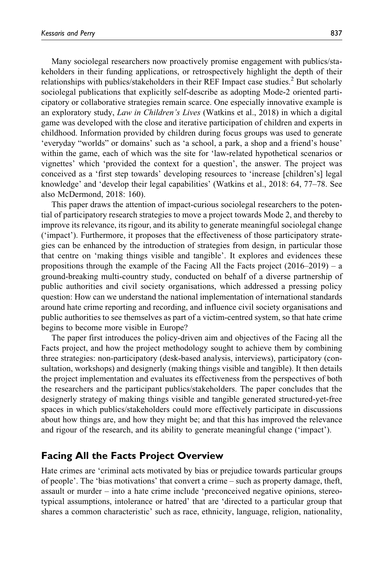Many sociolegal researchers now proactively promise engagement with publics/stakeholders in their funding applications, or retrospectively highlight the depth of their relationships with publics/stakeholders in their REF Impact case studies.<sup>2</sup> But scholarly sociolegal publications that explicitly self-describe as adopting Mode-2 oriented participatory or collaborative strategies remain scarce. One especially innovative example is an exploratory study, Law in Children's Lives (Watkins et al., 2018) in which a digital game was developed with the close and iterative participation of children and experts in childhood. Information provided by children during focus groups was used to generate 'everyday "worlds" or domains' such as 'a school, a park, a shop and a friend's house' within the game, each of which was the site for 'law-related hypothetical scenarios or vignettes' which 'provided the context for a question', the answer. The project was conceived as a 'first step towards' developing resources to 'increase [children's] legal knowledge' and 'develop their legal capabilities' (Watkins et al., 2018: 64, 77–78. See also McDermond, 2018: 160).

This paper draws the attention of impact-curious sociolegal researchers to the potential of participatory research strategies to move a project towards Mode 2, and thereby to improve its relevance, its rigour, and its ability to generate meaningful sociolegal change ('impact'). Furthermore, it proposes that the effectiveness of those participatory strategies can be enhanced by the introduction of strategies from design, in particular those that centre on 'making things visible and tangible'. It explores and evidences these propositions through the example of the Facing All the Facts project  $(2016-2019) - a$ ground-breaking multi-country study, conducted on behalf of a diverse partnership of public authorities and civil society organisations, which addressed a pressing policy question: How can we understand the national implementation of international standards around hate crime reporting and recording, and influence civil society organisations and public authorities to see themselves as part of a victim-centred system, so that hate crime begins to become more visible in Europe?

The paper first introduces the policy-driven aim and objectives of the Facing all the Facts project, and how the project methodology sought to achieve them by combining three strategies: non-participatory (desk-based analysis, interviews), participatory (consultation, workshops) and designerly (making things visible and tangible). It then details the project implementation and evaluates its effectiveness from the perspectives of both the researchers and the participant publics/stakeholders. The paper concludes that the designerly strategy of making things visible and tangible generated structured-yet-free spaces in which publics/stakeholders could more effectively participate in discussions about how things are, and how they might be; and that this has improved the relevance and rigour of the research, and its ability to generate meaningful change ('impact').

#### Facing All the Facts Project Overview

Hate crimes are 'criminal acts motivated by bias or prejudice towards particular groups of people'. The 'bias motivations' that convert a crime – such as property damage, theft, assault or murder – into a hate crime include 'preconceived negative opinions, stereotypical assumptions, intolerance or hatred' that are 'directed to a particular group that shares a common characteristic' such as race, ethnicity, language, religion, nationality,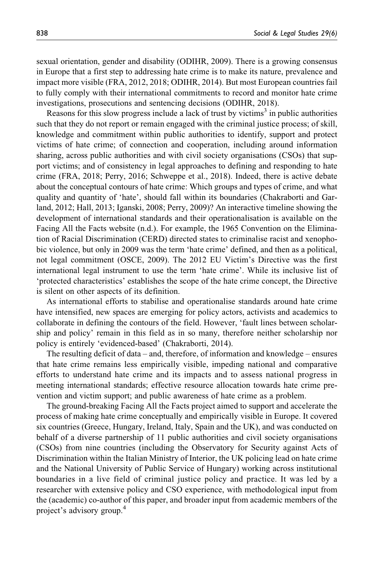sexual orientation, gender and disability (ODIHR, 2009). There is a growing consensus in Europe that a first step to addressing hate crime is to make its nature, prevalence and impact more visible (FRA, 2012, 2018; ODIHR, 2014). But most European countries fail to fully comply with their international commitments to record and monitor hate crime investigations, prosecutions and sentencing decisions (ODIHR, 2018).

Reasons for this slow progress include a lack of trust by victims<sup>3</sup> in public authorities such that they do not report or remain engaged with the criminal justice process; of skill, knowledge and commitment within public authorities to identify, support and protect victims of hate crime; of connection and cooperation, including around information sharing, across public authorities and with civil society organisations (CSOs) that support victims; and of consistency in legal approaches to defining and responding to hate crime (FRA, 2018; Perry, 2016; Schweppe et al., 2018). Indeed, there is active debate about the conceptual contours of hate crime: Which groups and types of crime, and what quality and quantity of 'hate', should fall within its boundaries (Chakraborti and Garland, 2012; Hall, 2013; Iganski, 2008; Perry, 2009)? An interactive timeline showing the development of international standards and their operationalisation is available on the Facing All the Facts website (n.d.). For example, the 1965 Convention on the Elimination of Racial Discrimination (CERD) directed states to criminalise racist and xenophobic violence, but only in 2009 was the term 'hate crime' defined, and then as a political, not legal commitment (OSCE, 2009). The 2012 EU Victim's Directive was the first international legal instrument to use the term 'hate crime'. While its inclusive list of 'protected characteristics' establishes the scope of the hate crime concept, the Directive is silent on other aspects of its definition.

As international efforts to stabilise and operationalise standards around hate crime have intensified, new spaces are emerging for policy actors, activists and academics to collaborate in defining the contours of the field. However, 'fault lines between scholarship and policy' remain in this field as in so many, therefore neither scholarship nor policy is entirely 'evidenced-based' (Chakraborti, 2014).

The resulting deficit of data – and, therefore, of information and knowledge – ensures that hate crime remains less empirically visible, impeding national and comparative efforts to understand hate crime and its impacts and to assess national progress in meeting international standards; effective resource allocation towards hate crime prevention and victim support; and public awareness of hate crime as a problem.

The ground-breaking Facing All the Facts project aimed to support and accelerate the process of making hate crime conceptually and empirically visible in Europe. It covered six countries (Greece, Hungary, Ireland, Italy, Spain and the UK), and was conducted on behalf of a diverse partnership of 11 public authorities and civil society organisations (CSOs) from nine countries (including the Observatory for Security against Acts of Discrimination within the Italian Ministry of Interior, the UK policing lead on hate crime and the National University of Public Service of Hungary) working across institutional boundaries in a live field of criminal justice policy and practice. It was led by a researcher with extensive policy and CSO experience, with methodological input from the (academic) co-author of this paper, and broader input from academic members of the project's advisory group.<sup>4</sup>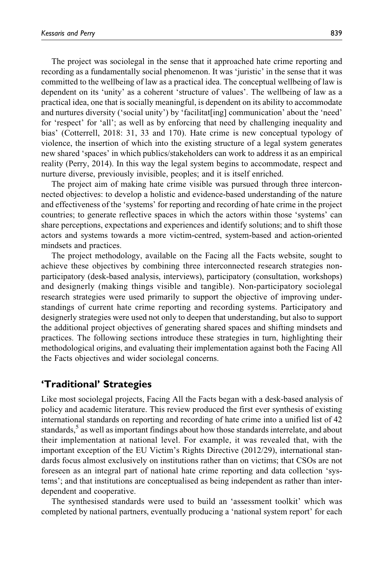The project was sociolegal in the sense that it approached hate crime reporting and recording as a fundamentally social phenomenon. It was 'juristic' in the sense that it was committed to the wellbeing of law as a practical idea. The conceptual wellbeing of law is dependent on its 'unity' as a coherent 'structure of values'. The wellbeing of law as a practical idea, one that is socially meaningful, is dependent on its ability to accommodate and nurtures diversity ('social unity') by 'facilitat[ing] communication' about the 'need' for 'respect' for 'all'; as well as by enforcing that need by challenging inequality and bias' (Cotterrell, 2018: 31, 33 and 170). Hate crime is new conceptual typology of violence, the insertion of which into the existing structure of a legal system generates new shared 'spaces' in which publics/stakeholders can work to address it as an empirical reality (Perry, 2014). In this way the legal system begins to accommodate, respect and nurture diverse, previously invisible, peoples; and it is itself enriched.

The project aim of making hate crime visible was pursued through three interconnected objectives: to develop a holistic and evidence-based understanding of the nature and effectiveness of the 'systems' for reporting and recording of hate crime in the project countries; to generate reflective spaces in which the actors within those 'systems' can share perceptions, expectations and experiences and identify solutions; and to shift those actors and systems towards a more victim-centred, system-based and action-oriented mindsets and practices.

The project methodology, available on the Facing all the Facts website, sought to achieve these objectives by combining three interconnected research strategies nonparticipatory (desk-based analysis, interviews), participatory (consultation, workshops) and designerly (making things visible and tangible). Non-participatory sociolegal research strategies were used primarily to support the objective of improving understandings of current hate crime reporting and recording systems. Participatory and designerly strategies were used not only to deepen that understanding, but also to support the additional project objectives of generating shared spaces and shifting mindsets and practices. The following sections introduce these strategies in turn, highlighting their methodological origins, and evaluating their implementation against both the Facing All the Facts objectives and wider sociolegal concerns.

#### 'Traditional' Strategies

Like most sociolegal projects, Facing All the Facts began with a desk-based analysis of policy and academic literature. This review produced the first ever synthesis of existing international standards on reporting and recording of hate crime into a unified list of 42 standards,<sup>5</sup> as well as important findings about how those standards interrelate, and about their implementation at national level. For example, it was revealed that, with the important exception of the EU Victim's Rights Directive (2012/29), international standards focus almost exclusively on institutions rather than on victims; that CSOs are not foreseen as an integral part of national hate crime reporting and data collection 'systems'; and that institutions are conceptualised as being independent as rather than interdependent and cooperative.

The synthesised standards were used to build an 'assessment toolkit' which was completed by national partners, eventually producing a 'national system report' for each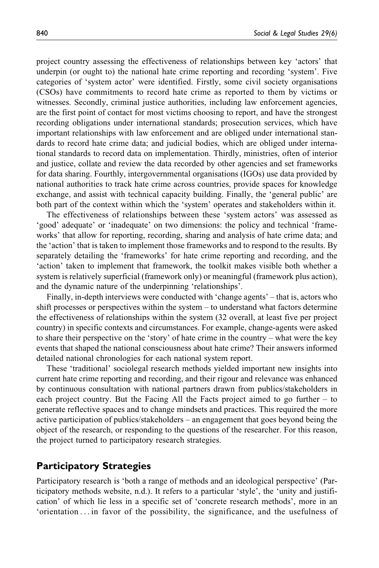project country assessing the effectiveness of relationships between key 'actors' that underpin (or ought to) the national hate crime reporting and recording 'system'. Five categories of 'system actor' were identified. Firstly, some civil society organisations (CSOs) have commitments to record hate crime as reported to them by victims or witnesses. Secondly, criminal justice authorities, including law enforcement agencies, are the first point of contact for most victims choosing to report, and have the strongest recording obligations under international standards; prosecution services, which have important relationships with law enforcement and are obliged under international standards to record hate crime data; and judicial bodies, which are obliged under international standards to record data on implementation. Thirdly, ministries, often of interior and justice, collate and review the data recorded by other agencies and set frameworks for data sharing. Fourthly, intergovernmental organisations (IGOs) use data provided by national authorities to track hate crime across countries, provide spaces for knowledge exchange, and assist with technical capacity building. Finally, the 'general public' are both part of the context within which the 'system' operates and stakeholders within it.

The effectiveness of relationships between these 'system actors' was assessed as 'good' adequate' or 'inadequate' on two dimensions: the policy and technical 'frameworks' that allow for reporting, recording, sharing and analysis of hate crime data; and the 'action' that is taken to implement those frameworks and to respond to the results. By separately detailing the 'frameworks' for hate crime reporting and recording, and the 'action' taken to implement that framework, the toolkit makes visible both whether a system is relatively superficial (framework only) or meaningful (framework plus action), and the dynamic nature of the underpinning 'relationships'.

Finally, in-depth interviews were conducted with 'change agents' – that is, actors who shift processes or perspectives within the system – to understand what factors determine the effectiveness of relationships within the system (32 overall, at least five per project country) in specific contexts and circumstances. For example, change-agents were asked to share their perspective on the 'story' of hate crime in the country – what were the key events that shaped the national consciousness about hate crime? Their answers informed detailed national chronologies for each national system report.

These 'traditional' sociolegal research methods yielded important new insights into current hate crime reporting and recording, and their rigour and relevance was enhanced by continuous consultation with national partners drawn from publics/stakeholders in each project country. But the Facing All the Facts project aimed to go further – to generate reflective spaces and to change mindsets and practices. This required the more active participation of publics/stakeholders – an engagement that goes beyond being the object of the research, or responding to the questions of the researcher. For this reason, the project turned to participatory research strategies.

#### Participatory Strategies

Participatory research is 'both a range of methods and an ideological perspective' (Participatory methods website, n.d.). It refers to a particular 'style', the 'unity and justification' of which lie less in a specific set of 'concrete research methods', more in an 'orientation ... in favor of the possibility, the significance, and the usefulness of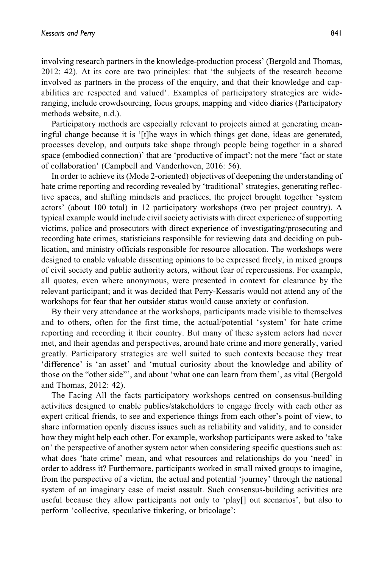involving research partners in the knowledge-production process' (Bergold and Thomas, 2012: 42). At its core are two principles: that 'the subjects of the research become involved as partners in the process of the enquiry, and that their knowledge and capabilities are respected and valued'. Examples of participatory strategies are wideranging, include crowdsourcing, focus groups, mapping and video diaries (Participatory methods website, n.d.).

Participatory methods are especially relevant to projects aimed at generating meaningful change because it is '[t]he ways in which things get done, ideas are generated, processes develop, and outputs take shape through people being together in a shared space (embodied connection)' that are 'productive of impact'; not the mere 'fact or state of collaboration' (Campbell and Vanderhoven, 2016: 56).

In order to achieve its (Mode 2-oriented) objectives of deepening the understanding of hate crime reporting and recording revealed by 'traditional' strategies, generating reflective spaces, and shifting mindsets and practices, the project brought together 'system actors' (about 100 total) in 12 participatory workshops (two per project country). A typical example would include civil society activists with direct experience of supporting victims, police and prosecutors with direct experience of investigating/prosecuting and recording hate crimes, statisticians responsible for reviewing data and deciding on publication, and ministry officials responsible for resource allocation. The workshops were designed to enable valuable dissenting opinions to be expressed freely, in mixed groups of civil society and public authority actors, without fear of repercussions. For example, all quotes, even where anonymous, were presented in context for clearance by the relevant participant; and it was decided that Perry-Kessaris would not attend any of the workshops for fear that her outsider status would cause anxiety or confusion.

By their very attendance at the workshops, participants made visible to themselves and to others, often for the first time, the actual/potential 'system' for hate crime reporting and recording it their country. But many of these system actors had never met, and their agendas and perspectives, around hate crime and more generally, varied greatly. Participatory strategies are well suited to such contexts because they treat 'difference' is 'an asset' and 'mutual curiosity about the knowledge and ability of those on the "other side"', and about 'what one can learn from them', as vital (Bergold and Thomas, 2012: 42).

The Facing All the facts participatory workshops centred on consensus-building activities designed to enable publics/stakeholders to engage freely with each other as expert critical friends, to see and experience things from each other's point of view, to share information openly discuss issues such as reliability and validity, and to consider how they might help each other. For example, workshop participants were asked to 'take on' the perspective of another system actor when considering specific questions such as: what does 'hate crime' mean, and what resources and relationships do you 'need' in order to address it? Furthermore, participants worked in small mixed groups to imagine, from the perspective of a victim, the actual and potential 'journey' through the national system of an imaginary case of racist assault. Such consensus-building activities are useful because they allow participants not only to 'play[] out scenarios', but also to perform 'collective, speculative tinkering, or bricolage':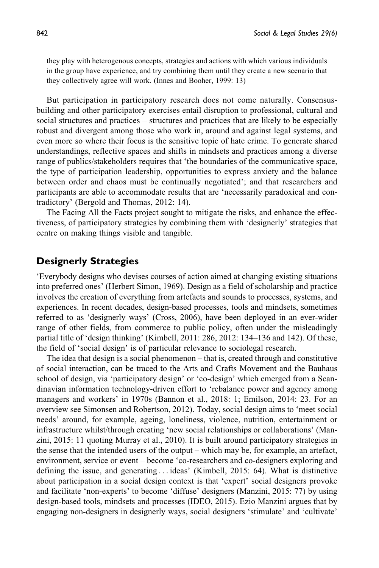they play with heterogenous concepts, strategies and actions with which various individuals in the group have experience, and try combining them until they create a new scenario that they collectively agree will work. (Innes and Booher, 1999: 13)

But participation in participatory research does not come naturally. Consensusbuilding and other participatory exercises entail disruption to professional, cultural and social structures and practices – structures and practices that are likely to be especially robust and divergent among those who work in, around and against legal systems, and even more so where their focus is the sensitive topic of hate crime. To generate shared understandings, reflective spaces and shifts in mindsets and practices among a diverse range of publics/stakeholders requires that 'the boundaries of the communicative space, the type of participation leadership, opportunities to express anxiety and the balance between order and chaos must be continually negotiated'; and that researchers and participants are able to accommodate results that are 'necessarily paradoxical and contradictory' (Bergold and Thomas, 2012: 14).

The Facing All the Facts project sought to mitigate the risks, and enhance the effectiveness, of participatory strategies by combining them with 'designerly' strategies that centre on making things visible and tangible.

#### Designerly Strategies

'Everybody designs who devises courses of action aimed at changing existing situations into preferred ones' (Herbert Simon, 1969). Design as a field of scholarship and practice involves the creation of everything from artefacts and sounds to processes, systems, and experiences. In recent decades, design-based processes, tools and mindsets, sometimes referred to as 'designerly ways' (Cross, 2006), have been deployed in an ever-wider range of other fields, from commerce to public policy, often under the misleadingly partial title of 'design thinking' (Kimbell, 2011: 286, 2012: 134–136 and 142). Of these, the field of 'social design' is of particular relevance to sociolegal research.

The idea that design is a social phenomenon – that is, created through and constitutive of social interaction, can be traced to the Arts and Crafts Movement and the Bauhaus school of design, via 'participatory design' or 'co-design' which emerged from a Scandinavian information technology-driven effort to 'rebalance power and agency among managers and workers' in 1970s (Bannon et al., 2018: 1; Emilson, 2014: 23. For an overview see Simonsen and Robertson, 2012). Today, social design aims to 'meet social needs' around, for example, ageing, loneliness, violence, nutrition, entertainment or infrastructure whilst/through creating 'new social relationships or collaborations' (Manzini, 2015: 11 quoting Murray et al., 2010). It is built around participatory strategies in the sense that the intended users of the output – which may be, for example, an artefact, environment, service or event – become 'co-researchers and co-designers exploring and defining the issue, and generating ... ideas' (Kimbell, 2015: 64). What is distinctive about participation in a social design context is that 'expert' social designers provoke and facilitate 'non-experts' to become 'diffuse' designers (Manzini, 2015: 77) by using design-based tools, mindsets and processes (IDEO, 2015). Ezio Manzini argues that by engaging non-designers in designerly ways, social designers 'stimulate' and 'cultivate'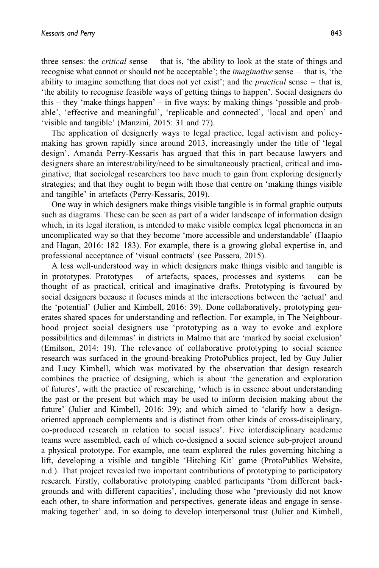three senses: the critical sense – that is, 'the ability to look at the state of things and recognise what cannot or should not be acceptable'; the imaginative sense – that is, 'the ability to imagine something that does not yet exist'; and the *practical* sense  $-$  that is, 'the ability to recognise feasible ways of getting things to happen'. Social designers do this – they 'make things happen' – in five ways: by making things 'possible and probable', 'effective and meaningful', 'replicable and connected', 'local and open' and 'visible and tangible' (Manzini, 2015: 31 and 77).

The application of designerly ways to legal practice, legal activism and policymaking has grown rapidly since around 2013, increasingly under the title of 'legal design'. Amanda Perry-Kessaris has argued that this in part because lawyers and designers share an interest/ability/need to be simultaneously practical, critical and imaginative; that sociolegal researchers too have much to gain from exploring designerly strategies; and that they ought to begin with those that centre on 'making things visible and tangible' in artefacts (Perry-Kessaris, 2019).

One way in which designers make things visible tangible is in formal graphic outputs such as diagrams. These can be seen as part of a wider landscape of information design which, in its legal iteration, is intended to make visible complex legal phenomena in an uncomplicated way so that they become 'more accessible and understandable' (Haapio and Hagan, 2016: 182–183). For example, there is a growing global expertise in, and professional acceptance of 'visual contracts' (see Passera, 2015).

A less well-understood way in which designers make things visible and tangible is in prototypes. Prototypes – of artefacts, spaces, processes and systems – can be thought of as practical, critical and imaginative drafts. Prototyping is favoured by social designers because it focuses minds at the intersections between the 'actual' and the 'potential' (Julier and Kimbell, 2016: 39). Done collaboratively, prototyping generates shared spaces for understanding and reflection. For example, in The Neighbourhood project social designers use 'prototyping as a way to evoke and explore possibilities and dilemmas' in districts in Malmo that are 'marked by social exclusion' (Emilson, 2014: 19). The relevance of collaborative prototyping to social science research was surfaced in the ground-breaking ProtoPublics project, led by Guy Julier and Lucy Kimbell, which was motivated by the observation that design research combines the practice of designing, which is about 'the generation and exploration of futures', with the practice of researching, 'which is in essence about understanding the past or the present but which may be used to inform decision making about the future' (Julier and Kimbell, 2016: 39); and which aimed to 'clarify how a designoriented approach complements and is distinct from other kinds of cross-disciplinary, co-produced research in relation to social issues'. Five interdisciplinary academic teams were assembled, each of which co-designed a social science sub-project around a physical prototype. For example, one team explored the rules governing hitching a lift, developing a visible and tangible 'Hitching Kit' game (ProtoPublics Website, n.d.). That project revealed two important contributions of prototyping to participatory research. Firstly, collaborative prototyping enabled participants 'from different backgrounds and with different capacities', including those who 'previously did not know each other, to share information and perspectives, generate ideas and engage in sensemaking together' and, in so doing to develop interpersonal trust (Julier and Kimbell,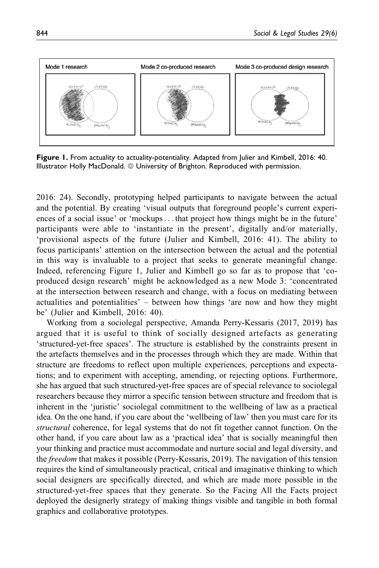

Figure 1. From actuality to actuality-potentiality. Adapted from Julier and Kimbell, 2016: 40. Illustrator Holly MacDonald. © University of Brighton. Reproduced with permission.

2016: 24). Secondly, prototyping helped participants to navigate between the actual and the potential. By creating 'visual outputs that foreground people's current experiences of a social issue' or 'mockups... that project how things might be in the future' participants were able to 'instantiate in the present', digitally and/or materially, 'provisional aspects of the future (Julier and Kimbell, 2016: 41). The ability to focus participants' attention on the intersection between the actual and the potential in this way is invaluable to a project that seeks to generate meaningful change. Indeed, referencing Figure 1, Julier and Kimbell go so far as to propose that 'coproduced design research' might be acknowledged as a new Mode 3: 'concentrated at the intersection between research and change, with a focus on mediating between actualities and potentialities' – between how things 'are now and how they might be' (Julier and Kimbell, 2016: 40).

Working from a sociolegal perspective, Amanda Perry-Kessaris (2017, 2019) has argued that it is useful to think of socially designed artefacts as generating 'structured-yet-free spaces'. The structure is established by the constraints present in the artefacts themselves and in the processes through which they are made. Within that structure are freedoms to reflect upon multiple experiences, perceptions and expectations; and to experiment with accepting, amending, or rejecting options. Furthermore, she has argued that such structured-yet-free spaces are of special relevance to sociolegal researchers because they mirror a specific tension between structure and freedom that is inherent in the 'juristic' sociolegal commitment to the wellbeing of law as a practical idea. On the one hand, if you care about the 'wellbeing of law' then you must care for its structural coherence, for legal systems that do not fit together cannot function. On the other hand, if you care about law as a 'practical idea' that is socially meaningful then your thinking and practice must accommodate and nurture social and legal diversity, and the *freedom* that makes it possible (Perry-Kessaris, 2019). The navigation of this tension requires the kind of simultaneously practical, critical and imaginative thinking to which social designers are specifically directed, and which are made more possible in the structured-yet-free spaces that they generate. So the Facing All the Facts project deployed the designerly strategy of making things visible and tangible in both formal graphics and collaborative prototypes.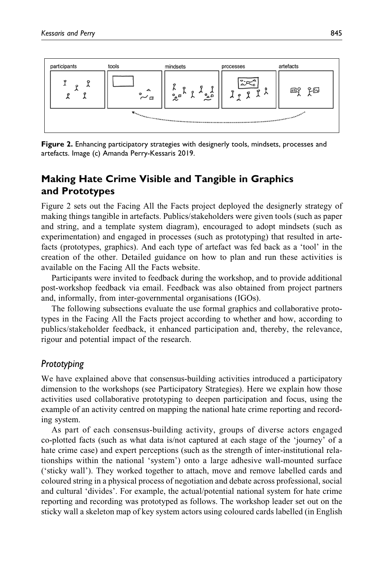

**Figure 2.** Enhancing participatory strategies with designerly tools, mindsets, processes and artefacts. Image (c) Amanda Perry-Kessaris 2019.

#### Making Hate Crime Visible and Tangible in Graphics and Prototypes

Figure 2 sets out the Facing All the Facts project deployed the designerly strategy of making things tangible in artefacts. Publics/stakeholders were given tools (such as paper and string, and a template system diagram), encouraged to adopt mindsets (such as experimentation) and engaged in processes (such as prototyping) that resulted in artefacts (prototypes, graphics). And each type of artefact was fed back as a 'tool' in the creation of the other. Detailed guidance on how to plan and run these activities is available on the Facing All the Facts website.

Participants were invited to feedback during the workshop, and to provide additional post-workshop feedback via email. Feedback was also obtained from project partners and, informally, from inter-governmental organisations (IGOs).

The following subsections evaluate the use formal graphics and collaborative prototypes in the Facing All the Facts project according to whether and how, according to publics/stakeholder feedback, it enhanced participation and, thereby, the relevance, rigour and potential impact of the research.

#### Prototyping

We have explained above that consensus-building activities introduced a participatory dimension to the workshops (see Participatory Strategies). Here we explain how those activities used collaborative prototyping to deepen participation and focus, using the example of an activity centred on mapping the national hate crime reporting and recording system.

As part of each consensus-building activity, groups of diverse actors engaged co-plotted facts (such as what data is/not captured at each stage of the 'journey' of a hate crime case) and expert perceptions (such as the strength of inter-institutional relationships within the national 'system') onto a large adhesive wall-mounted surface ('sticky wall'). They worked together to attach, move and remove labelled cards and coloured string in a physical process of negotiation and debate across professional, social and cultural 'divides'. For example, the actual/potential national system for hate crime reporting and recording was prototyped as follows. The workshop leader set out on the sticky wall a skeleton map of key system actors using coloured cards labelled (in English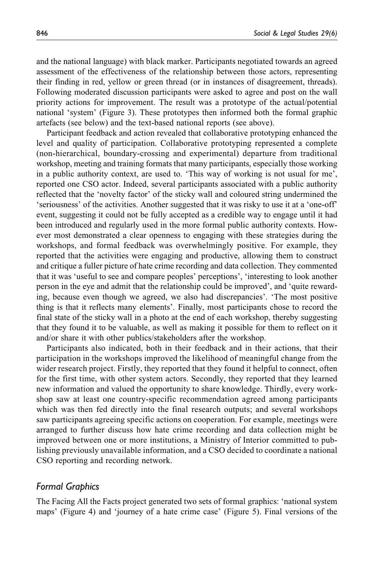and the national language) with black marker. Participants negotiated towards an agreed assessment of the effectiveness of the relationship between those actors, representing their finding in red, yellow or green thread (or in instances of disagreement, threads). Following moderated discussion participants were asked to agree and post on the wall priority actions for improvement. The result was a prototype of the actual/potential national 'system' (Figure 3). These prototypes then informed both the formal graphic artefacts (see below) and the text-based national reports (see above).

Participant feedback and action revealed that collaborative prototyping enhanced the level and quality of participation. Collaborative prototyping represented a complete (non-hierarchical, boundary-crossing and experimental) departure from traditional workshop, meeting and training formats that many participants, especially those working in a public authority context, are used to. 'This way of working is not usual for me', reported one CSO actor. Indeed, several participants associated with a public authority reflected that the 'novelty factor' of the sticky wall and coloured string undermined the 'seriousness' of the activities. Another suggested that it was risky to use it at a 'one-off' event, suggesting it could not be fully accepted as a credible way to engage until it had been introduced and regularly used in the more formal public authority contexts. However most demonstrated a clear openness to engaging with these strategies during the workshops, and formal feedback was overwhelmingly positive. For example, they reported that the activities were engaging and productive, allowing them to construct and critique a fuller picture of hate crime recording and data collection. They commented that it was 'useful to see and compare peoples' perceptions', 'interesting to look another person in the eye and admit that the relationship could be improved', and 'quite rewarding, because even though we agreed, we also had discrepancies'. 'The most positive thing is that it reflects many elements'. Finally, most participants chose to record the final state of the sticky wall in a photo at the end of each workshop, thereby suggesting that they found it to be valuable, as well as making it possible for them to reflect on it and/or share it with other publics/stakeholders after the workshop.

Participants also indicated, both in their feedback and in their actions, that their participation in the workshops improved the likelihood of meaningful change from the wider research project. Firstly, they reported that they found it helpful to connect, often for the first time, with other system actors. Secondly, they reported that they learned new information and valued the opportunity to share knowledge. Thirdly, every workshop saw at least one country-specific recommendation agreed among participants which was then fed directly into the final research outputs; and several workshops saw participants agreeing specific actions on cooperation. For example, meetings were arranged to further discuss how hate crime recording and data collection might be improved between one or more institutions, a Ministry of Interior committed to publishing previously unavailable information, and a CSO decided to coordinate a national CSO reporting and recording network.

#### Formal Graphics

The Facing All the Facts project generated two sets of formal graphics: 'national system maps' (Figure 4) and 'journey of a hate crime case' (Figure 5). Final versions of the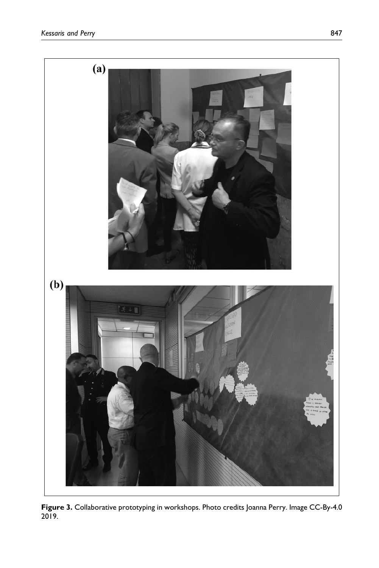

Figure 3. Collaborative prototyping in workshops. Photo credits Joanna Perry. Image CC-By-4.0 2019.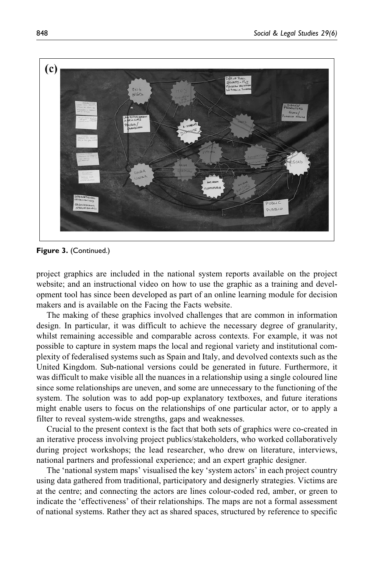

Figure 3. (Continued.)

project graphics are included in the national system reports available on the project website; and an instructional video on how to use the graphic as a training and development tool has since been developed as part of an online learning module for decision makers and is available on the Facing the Facts website.

The making of these graphics involved challenges that are common in information design. In particular, it was difficult to achieve the necessary degree of granularity, whilst remaining accessible and comparable across contexts. For example, it was not possible to capture in system maps the local and regional variety and institutional complexity of federalised systems such as Spain and Italy, and devolved contexts such as the United Kingdom. Sub-national versions could be generated in future. Furthermore, it was difficult to make visible all the nuances in a relationship using a single coloured line since some relationships are uneven, and some are unnecessary to the functioning of the system. The solution was to add pop-up explanatory textboxes, and future iterations might enable users to focus on the relationships of one particular actor, or to apply a filter to reveal system-wide strengths, gaps and weaknesses.

Crucial to the present context is the fact that both sets of graphics were co-created in an iterative process involving project publics/stakeholders, who worked collaboratively during project workshops; the lead researcher, who drew on literature, interviews, national partners and professional experience; and an expert graphic designer.

The 'national system maps' visualised the key 'system actors' in each project country using data gathered from traditional, participatory and designerly strategies. Victims are at the centre; and connecting the actors are lines colour-coded red, amber, or green to indicate the 'effectiveness' of their relationships. The maps are not a formal assessment of national systems. Rather they act as shared spaces, structured by reference to specific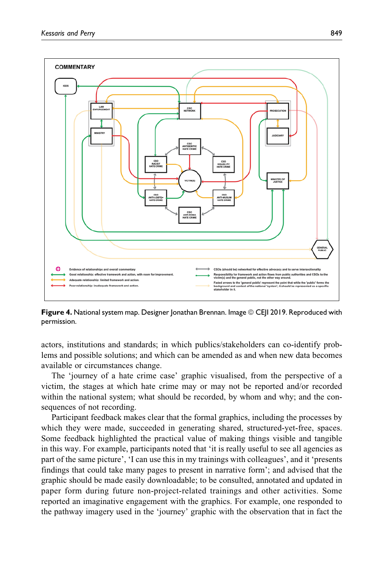

Figure 4. National system map. Designer Jonathan Brennan. Image © CEJI 2019. Reproduced with permission.

actors, institutions and standards; in which publics/stakeholders can co-identify problems and possible solutions; and which can be amended as and when new data becomes available or circumstances change.

The 'journey of a hate crime case' graphic visualised, from the perspective of a victim, the stages at which hate crime may or may not be reported and/or recorded within the national system; what should be recorded, by whom and why; and the consequences of not recording.

Participant feedback makes clear that the formal graphics, including the processes by which they were made, succeeded in generating shared, structured-yet-free, spaces. Some feedback highlighted the practical value of making things visible and tangible in this way. For example, participants noted that 'it is really useful to see all agencies as part of the same picture', 'I can use this in my trainings with colleagues', and it 'presents findings that could take many pages to present in narrative form'; and advised that the graphic should be made easily downloadable; to be consulted, annotated and updated in paper form during future non-project-related trainings and other activities. Some reported an imaginative engagement with the graphics. For example, one responded to the pathway imagery used in the 'journey' graphic with the observation that in fact the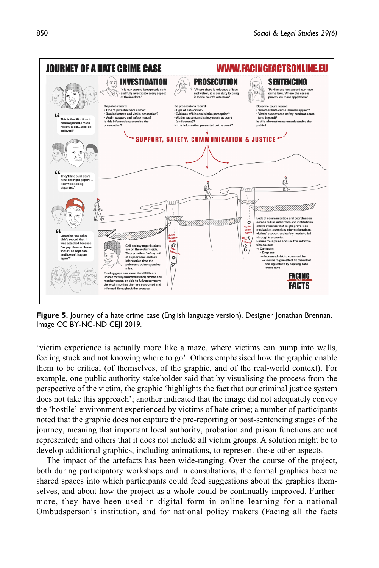

Figure 5. Journey of a hate crime case (English language version). Designer Jonathan Brennan. Image CC BY-NC-ND CEJI 2019.

'victim experience is actually more like a maze, where victims can bump into walls, feeling stuck and not knowing where to go'. Others emphasised how the graphic enable them to be critical (of themselves, of the graphic, and of the real-world context). For example, one public authority stakeholder said that by visualising the process from the perspective of the victim, the graphic 'highlights the fact that our criminal justice system does not take this approach'; another indicated that the image did not adequately convey the 'hostile' environment experienced by victims of hate crime; a number of participants noted that the graphic does not capture the pre-reporting or post-sentencing stages of the journey, meaning that important local authority, probation and prison functions are not represented; and others that it does not include all victim groups. A solution might be to develop additional graphics, including animations, to represent these other aspects.

The impact of the artefacts has been wide-ranging. Over the course of the project, both during participatory workshops and in consultations, the formal graphics became shared spaces into which participants could feed suggestions about the graphics themselves, and about how the project as a whole could be continually improved. Furthermore, they have been used in digital form in online learning for a national Ombudsperson's institution, and for national policy makers (Facing all the facts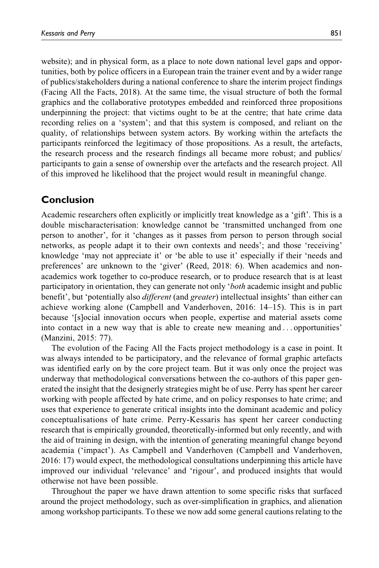website); and in physical form, as a place to note down national level gaps and opportunities, both by police officers in a European train the trainer event and by a wider range of publics/stakeholders during a national conference to share the interim project findings (Facing All the Facts, 2018). At the same time, the visual structure of both the formal graphics and the collaborative prototypes embedded and reinforced three propositions underpinning the project: that victims ought to be at the centre; that hate crime data recording relies on a 'system'; and that this system is composed, and reliant on the quality, of relationships between system actors. By working within the artefacts the participants reinforced the legitimacy of those propositions. As a result, the artefacts, the research process and the research findings all became more robust; and publics/ participants to gain a sense of ownership over the artefacts and the research project. All of this improved he likelihood that the project would result in meaningful change.

#### Conclusion

Academic researchers often explicitly or implicitly treat knowledge as a 'gift'. This is a double mischaracterisation: knowledge cannot be 'transmitted unchanged from one person to another', for it 'changes as it passes from person to person through social networks, as people adapt it to their own contexts and needs'; and those 'receiving' knowledge 'may not appreciate it' or 'be able to use it' especially if their 'needs and preferences' are unknown to the 'giver' (Reed, 2018: 6). When academics and nonacademics work together to co-produce research, or to produce research that is at least participatory in orientation, they can generate not only 'both academic insight and public benefit', but 'potentially also *different* (and *greater*) intellectual insights' than either can achieve working alone (Campbell and Vanderhoven, 2016: 14–15). This is in part because '[s]ocial innovation occurs when people, expertise and material assets come into contact in a new way that is able to create new meaning and ... opportunities' (Manzini, 2015: 77).

The evolution of the Facing All the Facts project methodology is a case in point. It was always intended to be participatory, and the relevance of formal graphic artefacts was identified early on by the core project team. But it was only once the project was underway that methodological conversations between the co-authors of this paper generated the insight that the designerly strategies might be of use. Perry has spent her career working with people affected by hate crime, and on policy responses to hate crime; and uses that experience to generate critical insights into the dominant academic and policy conceptualisations of hate crime. Perry-Kessaris has spent her career conducting research that is empirically grounded, theoretically-informed but only recently, and with the aid of training in design, with the intention of generating meaningful change beyond academia ('impact'). As Campbell and Vanderhoven (Campbell and Vanderhoven, 2016: 17) would expect, the methodological consultations underpinning this article have improved our individual 'relevance' and 'rigour', and produced insights that would otherwise not have been possible.

Throughout the paper we have drawn attention to some specific risks that surfaced around the project methodology, such as over-simplification in graphics, and alienation among workshop participants. To these we now add some general cautions relating to the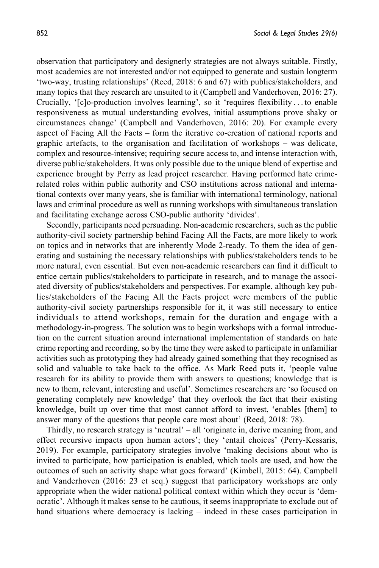observation that participatory and designerly strategies are not always suitable. Firstly, most academics are not interested and/or not equipped to generate and sustain longterm 'two-way, trusting relationships' (Reed, 2018: 6 and 67) with publics/stakeholders, and many topics that they research are unsuited to it (Campbell and Vanderhoven, 2016: 27). Crucially, '[c]o-production involves learning', so it 'requires flexibility ... to enable responsiveness as mutual understanding evolves, initial assumptions prove shaky or circumstances change' (Campbell and Vanderhoven, 2016: 20). For example every aspect of Facing All the Facts – form the iterative co-creation of national reports and graphic artefacts, to the organisation and facilitation of workshops – was delicate, complex and resource-intensive; requiring secure access to, and intense interaction with, diverse public/stakeholders. It was only possible due to the unique blend of expertise and experience brought by Perry as lead project researcher. Having performed hate crimerelated roles within public authority and CSO institutions across national and international contexts over many years, she is familiar with international terminology, national laws and criminal procedure as well as running workshops with simultaneous translation and facilitating exchange across CSO-public authority 'divides'.

Secondly, participants need persuading. Non-academic researchers, such as the public authority-civil society partnership behind Facing All the Facts, are more likely to work on topics and in networks that are inherently Mode 2-ready. To them the idea of generating and sustaining the necessary relationships with publics/stakeholders tends to be more natural, even essential. But even non-academic researchers can find it difficult to entice certain publics/stakeholders to participate in research, and to manage the associated diversity of publics/stakeholders and perspectives. For example, although key publics/stakeholders of the Facing All the Facts project were members of the public authority-civil society partnerships responsible for it, it was still necessary to entice individuals to attend workshops, remain for the duration and engage with a methodology-in-progress. The solution was to begin workshops with a formal introduction on the current situation around international implementation of standards on hate crime reporting and recording, so by the time they were asked to participate in unfamiliar activities such as prototyping they had already gained something that they recognised as solid and valuable to take back to the office. As Mark Reed puts it, 'people value research for its ability to provide them with answers to questions; knowledge that is new to them, relevant, interesting and useful'. Sometimes researchers are 'so focused on generating completely new knowledge' that they overlook the fact that their existing knowledge, built up over time that most cannot afford to invest, 'enables [them] to answer many of the questions that people care most about' (Reed, 2018: 78).

Thirdly, no research strategy is 'neutral' – all 'originate in, derive meaning from, and effect recursive impacts upon human actors'; they 'entail choices' (Perry-Kessaris, 2019). For example, participatory strategies involve 'making decisions about who is invited to participate, how participation is enabled, which tools are used, and how the outcomes of such an activity shape what goes forward' (Kimbell, 2015: 64). Campbell and Vanderhoven (2016: 23 et seq.) suggest that participatory workshops are only appropriate when the wider national political context within which they occur is 'democratic'. Although it makes sense to be cautious, it seems inappropriate to exclude out of hand situations where democracy is lacking – indeed in these cases participation in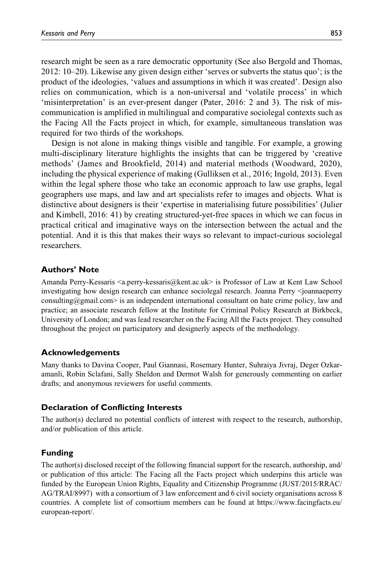research might be seen as a rare democratic opportunity (See also Bergold and Thomas, 2012: 10–20). Likewise any given design either 'serves or subverts the status quo'; is the product of the ideologies, 'values and assumptions in which it was created'. Design also relies on communication, which is a non-universal and 'volatile process' in which 'misinterpretation' is an ever-present danger (Pater, 2016: 2 and 3). The risk of miscommunication is amplified in multilingual and comparative sociolegal contexts such as the Facing All the Facts project in which, for example, simultaneous translation was required for two thirds of the workshops.

Design is not alone in making things visible and tangible. For example, a growing multi-disciplinary literature highlights the insights that can be triggered by 'creative methods' (James and Brookfield, 2014) and material methods (Woodward, 2020), including the physical experience of making (Gulliksen et al., 2016; Ingold, 2013). Even within the legal sphere those who take an economic approach to law use graphs, legal geographers use maps, and law and art specialists refer to images and objects. What is distinctive about designers is their 'expertise in materialising future possibilities' (Julier and Kimbell, 2016: 41) by creating structured-yet-free spaces in which we can focus in practical critical and imaginative ways on the intersection between the actual and the potential. And it is this that makes their ways so relevant to impact-curious sociolegal researchers.

#### Authors' Note

Amanda Perry-Kessaris [<a.perry-kessaris@kent.ac.uk>](mailto:a.perry-kessaris@kent.ac.uk) is Professor of Law at Kent Law School investigating how design research can enhance sociolegal research. Joanna Perry <[joannaeperry](mailto:joannaeperryconsulting@gmail.com) [consulting@gmail.com](mailto:joannaeperryconsulting@gmail.com)> is an independent international consultant on hate crime policy, law and practice; an associate research fellow at the Institute for Criminal Policy Research at Birkbeck, University of London; and was lead researcher on the Facing All the Facts project. They consulted throughout the project on participatory and designerly aspects of the methodology.

#### Acknowledgements

Many thanks to Davina Cooper, Paul Giannasi, Rosemary Hunter, Suhraiya Jivraj, Deger Ozkaramanli, Robin Sclafani, Sally Sheldon and Dermot Walsh for generously commenting on earlier drafts; and anonymous reviewers for useful comments.

#### Declaration of Conflicting Interests

The author(s) declared no potential conflicts of interest with respect to the research, authorship, and/or publication of this article.

#### Funding

The author(s) disclosed receipt of the following financial support for the research, authorship, and/ or publication of this article: The Facing all the Facts project which underpins this article was funded by the European Union Rights, Equality and Citizenship Programme (JUST/2015/RRAC/ AG/TRAI/8997) with a consortium of 3 law enforcement and 6 civil society organisations across 8 countries. A complete list of consortium members can be found at [https://www.facingfacts.eu/](https://www.facingfacts.eu/european-report/) [european-report/](https://www.facingfacts.eu/european-report/).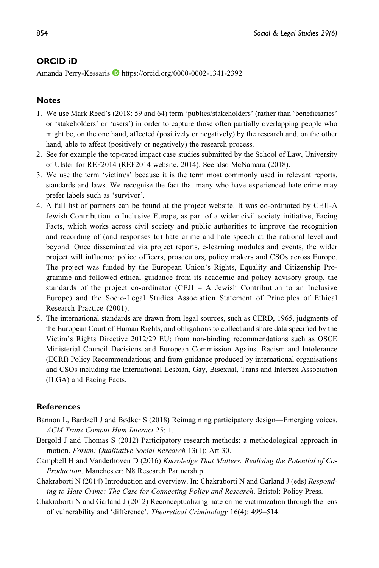#### ORCID iD

Amanda Perry-Kessaris <https://orcid.org/0000-0002-1341-2392>

#### **Notes**

- 1. We use Mark Reed's (2018: 59 and 64) term 'publics/stakeholders' (rather than 'beneficiaries' or 'stakeholders' or 'users') in order to capture those often partially overlapping people who might be, on the one hand, affected (positively or negatively) by the research and, on the other hand, able to affect (positively or negatively) the research process.
- 2. See for example the top-rated impact case studies submitted by the School of Law, University of Ulster for REF2014 (REF2014 website, 2014). See also McNamara (2018).
- 3. We use the term 'victim/s' because it is the term most commonly used in relevant reports, standards and laws. We recognise the fact that many who have experienced hate crime may prefer labels such as 'survivor'.
- 4. A full list of partners can be found at the project website. It was co-ordinated by CEJI-A Jewish Contribution to Inclusive Europe, as part of a wider civil society initiative, Facing Facts, which works across civil society and public authorities to improve the recognition and recording of (and responses to) hate crime and hate speech at the national level and beyond. Once disseminated via project reports, e-learning modules and events, the wider project will influence police officers, prosecutors, policy makers and CSOs across Europe. The project was funded by the European Union's Rights, Equality and Citizenship Programme and followed ethical guidance from its academic and policy advisory group, the standards of the project co-ordinator (CEJI – A Jewish Contribution to an Inclusive Europe) and the Socio-Legal Studies Association Statement of Principles of Ethical Research Practice (2001).
- 5. The international standards are drawn from legal sources, such as CERD, 1965, judgments of the European Court of Human Rights, and obligations to collect and share data specified by the Victim's Rights Directive 2012/29 EU; from non-binding recommendations such as OSCE Ministerial Council Decisions and European Commission Against Racism and Intolerance (ECRI) Policy Recommendations; and from guidance produced by international organisations and CSOs including the International Lesbian, Gay, Bisexual, Trans and Intersex Association (ILGA) and Facing Facts.

#### **References**

- Bannon L, Bardzell J and Bødker S (2018) Reimagining participatory design—Emerging voices. ACM Trans Comput Hum Interact 25: 1.
- Bergold J and Thomas S (2012) Participatory research methods: a methodological approach in motion. Forum: Qualitative Social Research 13(1): Art 30.
- Campbell H and Vanderhoven D (2016) Knowledge That Matters: Realising the Potential of Co-Production. Manchester: N8 Research Partnership.
- Chakraborti N (2014) Introduction and overview. In: Chakraborti N and Garland J (eds) Responding to Hate Crime: The Case for Connecting Policy and Research. Bristol: Policy Press.
- Chakraborti N and Garland J (2012) Reconceptualizing hate crime victimization through the lens of vulnerability and 'difference'. Theoretical Criminology 16(4): 499–514.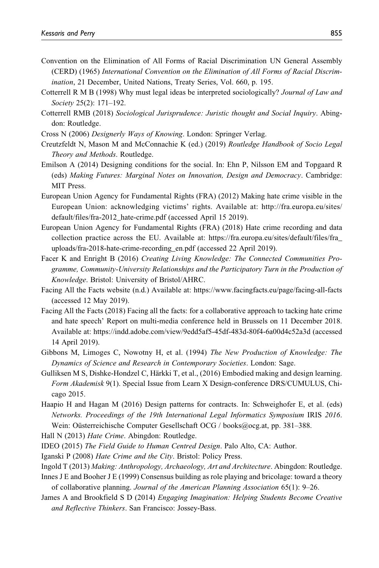- Convention on the Elimination of All Forms of Racial Discrimination UN General Assembly (CERD) (1965) International Convention on the Elimination of All Forms of Racial Discrimination, 21 December, United Nations, Treaty Series, Vol. 660, p. 195.
- Cotterrell R M B (1998) Why must legal ideas be interpreted sociologically? Journal of Law and Society 25(2): 171–192.
- Cotterrell RMB (2018) Sociological Jurisprudence: Juristic thought and Social Inquiry. Abingdon: Routledge.
- Cross N (2006) Designerly Ways of Knowing. London: Springer Verlag.
- Creutzfeldt N, Mason M and McConnachie K (ed.) (2019) Routledge Handbook of Socio Legal Theory and Methods. Routledge.
- Emilson A (2014) Designing conditions for the social. In: Ehn P, Nilsson EM and Topgaard R (eds) Making Futures: Marginal Notes on Innovation, Design and Democracy. Cambridge: MIT Press.
- European Union Agency for Fundamental Rights (FRA) (2012) Making hate crime visible in the European Union: acknowledging victims' rights. Available at: [http://fra.europa.eu/sites/](http://fra.europa.eu/sites/default/files/fra-2012_hate-crime.pdf) [default/files/fra-2012\\_hate-crime.pdf](http://fra.europa.eu/sites/default/files/fra-2012_hate-crime.pdf) (accessed April 15 2019).
- European Union Agency for Fundamental Rights (FRA) (2018) Hate crime recording and data collection practice across the EU. Available at: [https://fra.europa.eu/sites/default/files/fra\\_](https://fra.europa.eu/sites/default/files/fra_uploads/fra-2018-hate-crime-recording_en.pdf) [uploads/fra-2018-hate-crime-recording\\_en.pdf](https://fra.europa.eu/sites/default/files/fra_uploads/fra-2018-hate-crime-recording_en.pdf) (accessed 22 April 2019).
- Facer K and Enright B (2016) Creating Living Knowledge: The Connected Communities Programme, Community-University Relationships and the Participatory Turn in the Production of Knowledge. Bristol: University of Bristol/AHRC.
- Facing All the Facts website (n.d.) Available at:<https://www.facingfacts.eu/page/facing-all-facts> (accessed 12 May 2019).
- Facing All the Facts (2018) Facing all the facts: for a collaborative approach to tacking hate crime and hate speech' Report on multi-media conference held in Brussels on 11 December 2018. Available at:<https://indd.adobe.com/view/9edd5af5-45df-483d-80f4-6a00d4c52a3d> (accessed 14 April 2019).
- Gibbons M, Limoges C, Nowotny H, et al. (1994) The New Production of Knowledge: The Dynamics of Science and Research in Contemporary Societies. London: Sage.
- Gulliksen M S, Dishke-Hondzel C, Härkki T, et al., (2016) Embodied making and design learning. Form Akademisk 9(1). Special Issue from Learn X Design-conference DRS/CUMULUS, Chicago 2015.
- Haapio H and Hagan M (2016) Design patterns for contracts. In: Schweighofer E, et al. (eds) Networks. Proceedings of the 19th International Legal Informatics Symposium IRIS 2016. Wein: Oüsterreichische Computer Gesellschaft OCG / books@ocg.at, pp. 381–388.
- Hall N (2013) Hate Crime. Abingdon: Routledge.
- IDEO (2015) The Field Guide to Human Centred Design. Palo Alto, CA: Author.
- Iganski P (2008) Hate Crime and the City. Bristol: Policy Press.
- Ingold T (2013) Making: Anthropology, Archaeology, Art and Architecture. Abingdon: Routledge.
- Innes J E and Booher J E (1999) Consensus building as role playing and bricolage: toward a theory of collaborative planning. Journal of the American Planning Association 65(1): 9–26.
- James A and Brookfield S D (2014) Engaging Imagination: Helping Students Become Creative and Reflective Thinkers. San Francisco: Jossey-Bass.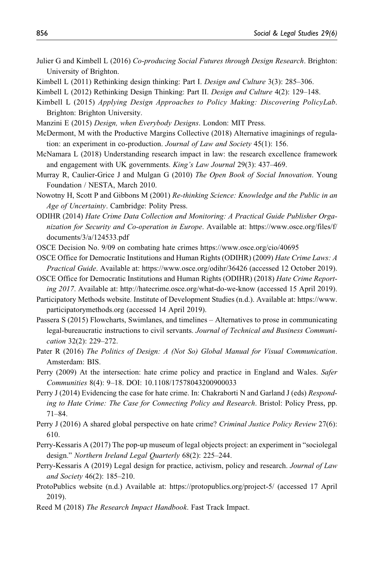- Julier G and Kimbell L (2016) Co-producing Social Futures through Design Research. Brighton: University of Brighton.
- Kimbell L (2011) Rethinking design thinking: Part I. *Design and Culture* 3(3): 285–306.
- Kimbell L (2012) Rethinking Design Thinking: Part II. Design and Culture 4(2): 129–148.
- Kimbell L (2015) Applying Design Approaches to Policy Making: Discovering PolicyLab. Brighton: Brighton University.
- Manzini E (2015) Design, when Everybody Designs. London: MIT Press.
- McDermont, M with the Productive Margins Collective (2018) Alternative imaginings of regulation: an experiment in co-production. Journal of Law and Society 45(1): 156.
- McNamara L (2018) Understanding research impact in law: the research excellence framework and engagement with UK governments. King's Law Journal 29(3): 437–469.
- Murray R, Caulier-Grice J and Mulgan G (2010) The Open Book of Social Innovation. Young Foundation / NESTA, March 2010.
- Nowotny H, Scott P and Gibbons M (2001) Re-thinking Science: Knowledge and the Public in an Age of Uncertainty. Cambridge: Polity Press.
- ODIHR (2014) Hate Crime Data Collection and Monitoring: A Practical Guide Publisher Organization for Security and Co-operation in Europe. Available at: [https://www.osce.org/files/f/](https://www.osce.org/files/f/documents/3/a/124533.pdf) [documents/3/a/124533.pdf](https://www.osce.org/files/f/documents/3/a/124533.pdf)
- OSCE Decision No. 9/09 on combating hate crimes<https://www.osce.org/cio/40695>
- OSCE Office for Democratic Institutions and Human Rights (ODIHR) (2009) Hate Crime Laws: A Practical Guide. Available at:<https://www.osce.org/odihr/36426> (accessed 12 October 2019).
- OSCE Office for Democratic Institutions and Human Rights (ODIHR) (2018) Hate Crime Reporting 2017. Available at:<http://hatecrime.osce.org/what-do-we-know> (accessed 15 April 2019).
- Participatory Methods website. Institute of Development Studies (n.d.). Available at: [https://www.](https://www.participatorymethods.org) [participatorymethods.org](https://www.participatorymethods.org) (accessed 14 April 2019).
- Passera S (2015) Flowcharts, Swimlanes, and timelines Alternatives to prose in communicating legal-bureaucratic instructions to civil servants. Journal of Technical and Business Communication 32(2): 229–272.
- Pater R (2016) The Politics of Design: A (Not So) Global Manual for Visual Communication. Amsterdam: BIS.
- Perry (2009) At the intersection: hate crime policy and practice in England and Wales. Safer Communities 8(4): 9–18. DOI: 10.1108/17578043200900033
- Perry J (2014) Evidencing the case for hate crime. In: Chakraborti N and Garland J (eds) Responding to Hate Crime: The Case for Connecting Policy and Research. Bristol: Policy Press, pp. 71–84.
- Perry J (2016) A shared global perspective on hate crime? Criminal Justice Policy Review 27(6): 610.
- Perry-Kessaris A (2017) The pop-up museum of legal objects project: an experiment in "sociolegal design." Northern Ireland Legal Quarterly 68(2): 225-244.
- Perry-Kessaris A (2019) Legal design for practice, activism, policy and research. Journal of Law and Society 46(2): 185–210.
- ProtoPublics website (n.d.) Available at:<https://protopublics.org/project-5/> (accessed 17 April 2019).
- Reed M (2018) The Research Impact Handbook. Fast Track Impact.